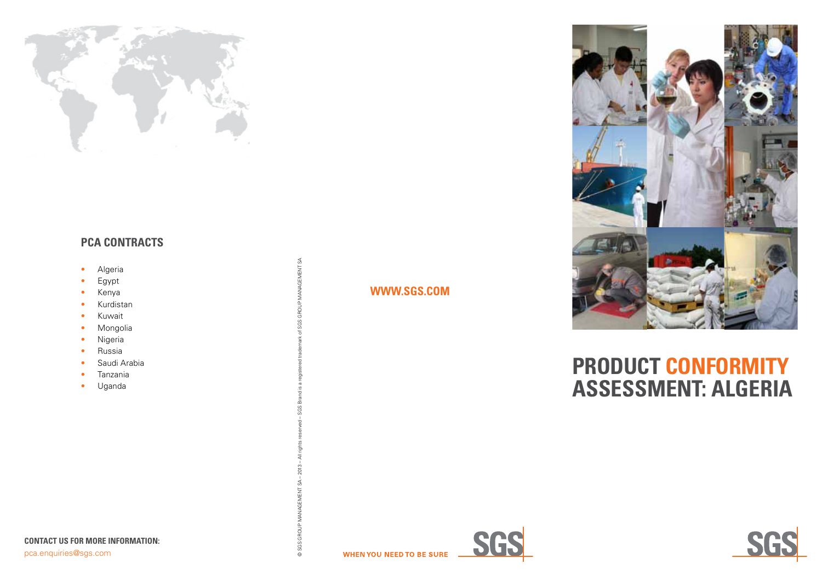

## **PCA CONTRACTS**

- Algeria
- Egypt
- Kenya
- Kurdistan
- Kuwait
- Mongolia
- Nigeria
- Russia
- Saudi Arabia
- Tanzania
- Uganda

### **WWW.SGS.COM**

**WHEN YOU NEED TO BE SURE** 





# **PRODUCT CONFORMITY ASSESSMENT: ALGERIA**





© SGS GROUP MANAGEMENT SA – 2013 – All rights reserved – SGS Brand is a registered trademark of SGS GROUP MANAGEMENT SA

GROL © SGS O

MANAGEMENT SA

č